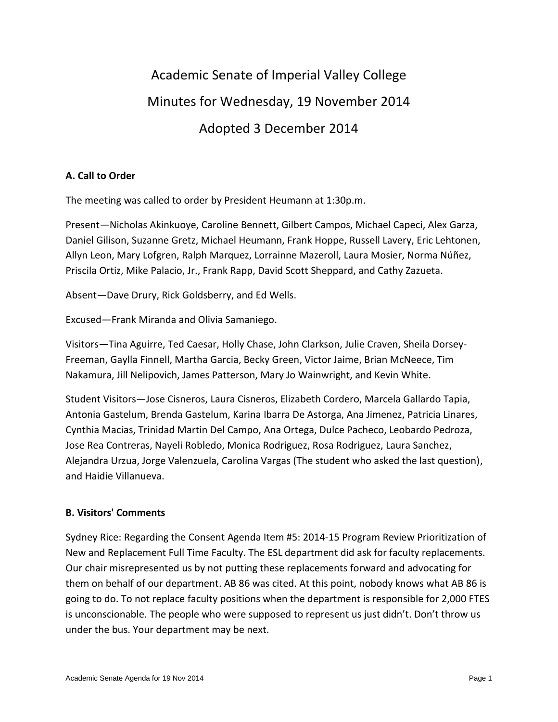# Academic Senate of Imperial Valley College Minutes for Wednesday, 19 November 2014 Adopted 3 December 2014

# **A. Call to Order**

The meeting was called to order by President Heumann at 1:30p.m.

Present—Nicholas Akinkuoye, Caroline Bennett, Gilbert Campos, Michael Capeci, Alex Garza, Daniel Gilison, Suzanne Gretz, Michael Heumann, Frank Hoppe, Russell Lavery, Eric Lehtonen, Allyn Leon, Mary Lofgren, Ralph Marquez, Lorrainne Mazeroll, Laura Mosier, Norma Núñez, Priscila Ortiz, Mike Palacio, Jr., Frank Rapp, David Scott Sheppard, and Cathy Zazueta.

Absent—Dave Drury, Rick Goldsberry, and Ed Wells.

Excused—Frank Miranda and Olivia Samaniego.

Visitors—Tina Aguirre, Ted Caesar, Holly Chase, John Clarkson, Julie Craven, Sheila Dorsey-Freeman, Gaylla Finnell, Martha Garcia, Becky Green, Victor Jaime, Brian McNeece, Tim Nakamura, Jill Nelipovich, James Patterson, Mary Jo Wainwright, and Kevin White.

Student Visitors—Jose Cisneros, Laura Cisneros, Elizabeth Cordero, Marcela Gallardo Tapia, Antonia Gastelum, Brenda Gastelum, Karina Ibarra De Astorga, Ana Jimenez, Patricia Linares, Cynthia Macias, Trinidad Martin Del Campo, Ana Ortega, Dulce Pacheco, Leobardo Pedroza, Jose Rea Contreras, Nayeli Robledo, Monica Rodriguez, Rosa Rodriguez, Laura Sanchez, Alejandra Urzua, Jorge Valenzuela, Carolina Vargas (The student who asked the last question), and Haidie Villanueva.

# **B. Visitors' Comments**

Sydney Rice: Regarding the Consent Agenda Item #5: 2014-15 Program Review Prioritization of New and Replacement Full Time Faculty. The ESL department did ask for faculty replacements. Our chair misrepresented us by not putting these replacements forward and advocating for them on behalf of our department. AB 86 was cited. At this point, nobody knows what AB 86 is going to do. To not replace faculty positions when the department is responsible for 2,000 FTES is unconscionable. The people who were supposed to represent us just didn't. Don't throw us under the bus. Your department may be next.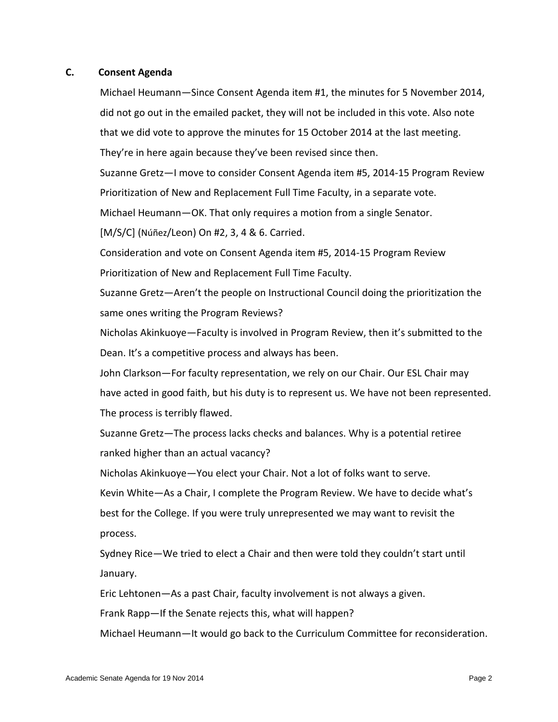#### **C. Consent Agenda**

Michael Heumann—Since Consent Agenda item #1, the minutes for 5 November 2014, did not go out in the emailed packet, they will not be included in this vote. Also note that we did vote to approve the minutes for 15 October 2014 at the last meeting. They're in here again because they've been revised since then.

Suzanne Gretz—I move to consider Consent Agenda item #5, 2014-15 Program Review Prioritization of New and Replacement Full Time Faculty, in a separate vote.

Michael Heumann—OK. That only requires a motion from a single Senator.

[M/S/C] (Núñez/Leon) On #2, 3, 4 & 6. Carried.

Consideration and vote on Consent Agenda item #5, 2014-15 Program Review Prioritization of New and Replacement Full Time Faculty.

Suzanne Gretz—Aren't the people on Instructional Council doing the prioritization the same ones writing the Program Reviews?

Nicholas Akinkuoye—Faculty is involved in Program Review, then it's submitted to the Dean. It's a competitive process and always has been.

John Clarkson—For faculty representation, we rely on our Chair. Our ESL Chair may have acted in good faith, but his duty is to represent us. We have not been represented. The process is terribly flawed.

Suzanne Gretz—The process lacks checks and balances. Why is a potential retiree ranked higher than an actual vacancy?

Nicholas Akinkuoye—You elect your Chair. Not a lot of folks want to serve.

Kevin White—As a Chair, I complete the Program Review. We have to decide what's

best for the College. If you were truly unrepresented we may want to revisit the process.

Sydney Rice—We tried to elect a Chair and then were told they couldn't start until January.

Eric Lehtonen—As a past Chair, faculty involvement is not always a given.

Frank Rapp—If the Senate rejects this, what will happen?

Michael Heumann—It would go back to the Curriculum Committee for reconsideration.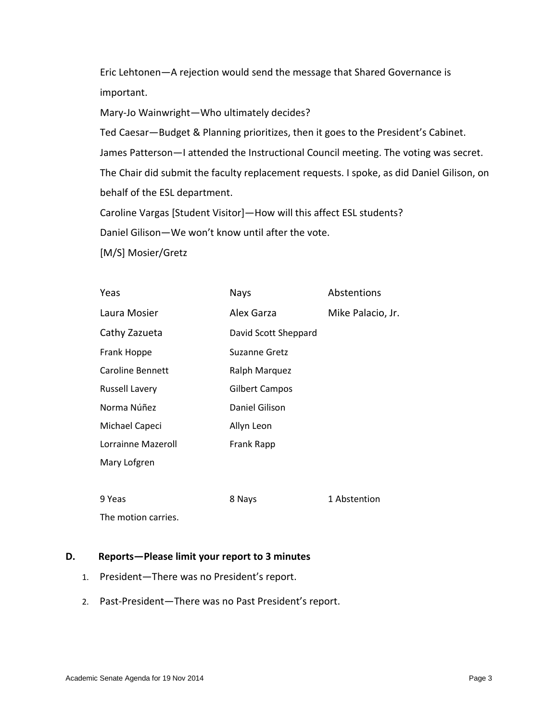Eric Lehtonen—A rejection would send the message that Shared Governance is important.

Mary-Jo Wainwright—Who ultimately decides?

Ted Caesar—Budget & Planning prioritizes, then it goes to the President's Cabinet.

James Patterson—I attended the Instructional Council meeting. The voting was secret.

The Chair did submit the faculty replacement requests. I spoke, as did Daniel Gilison, on behalf of the ESL department.

Caroline Vargas [Student Visitor]—How will this affect ESL students?

Daniel Gilison—We won't know until after the vote.

[M/S] Mosier/Gretz

| Yeas                  | <b>Nays</b>          | Abstentions       |
|-----------------------|----------------------|-------------------|
| Laura Mosier          | Alex Garza           | Mike Palacio, Jr. |
| Cathy Zazueta         | David Scott Sheppard |                   |
| Frank Hoppe           | <b>Suzanne Gretz</b> |                   |
| Caroline Bennett      | Ralph Marquez        |                   |
| <b>Russell Lavery</b> | Gilbert Campos       |                   |
| Norma Núñez           | Daniel Gilison       |                   |
| Michael Capeci        | Allyn Leon           |                   |
| Lorrainne Mazeroll    | Frank Rapp           |                   |
| Mary Lofgren          |                      |                   |
|                       |                      |                   |
| 9 Yeas                | 8 Nays               | 1 Abstention      |
|                       |                      |                   |

The motion carries.

#### **D. Reports—Please limit your report to 3 minutes**

- 1. President—There was no President's report.
- 2. Past-President—There was no Past President's report.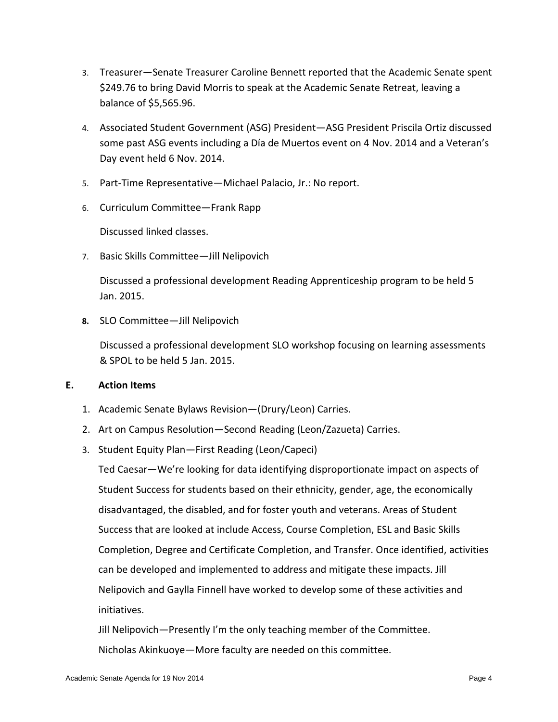- 3. Treasurer—Senate Treasurer Caroline Bennett reported that the Academic Senate spent \$249.76 to bring David Morris to speak at the Academic Senate Retreat, leaving a balance of \$5,565.96.
- 4. Associated Student Government (ASG) President—ASG President Priscila Ortiz discussed some past ASG events including a Día de Muertos event on 4 Nov. 2014 and a Veteran's Day event held 6 Nov. 2014.
- 5. Part-Time Representative—Michael Palacio, Jr.: No report.
- 6. Curriculum Committee—Frank Rapp

Discussed linked classes.

7. Basic Skills Committee—Jill Nelipovich

Discussed a professional development Reading Apprenticeship program to be held 5 Jan. 2015.

**8.** SLO Committee—Jill Nelipovich

Discussed a professional development SLO workshop focusing on learning assessments & SPOL to be held 5 Jan. 2015.

# **E. Action Items**

- 1. Academic Senate Bylaws Revision—(Drury/Leon) Carries.
- 2. Art on Campus Resolution—Second Reading (Leon/Zazueta) Carries.
- 3. Student Equity Plan—First Reading (Leon/Capeci)

Ted Caesar—We're looking for data identifying disproportionate impact on aspects of Student Success for students based on their ethnicity, gender, age, the economically disadvantaged, the disabled, and for foster youth and veterans. Areas of Student Success that are looked at include Access, Course Completion, ESL and Basic Skills Completion, Degree and Certificate Completion, and Transfer. Once identified, activities can be developed and implemented to address and mitigate these impacts. Jill Nelipovich and Gaylla Finnell have worked to develop some of these activities and initiatives.

Jill Nelipovich—Presently I'm the only teaching member of the Committee. Nicholas Akinkuoye—More faculty are needed on this committee.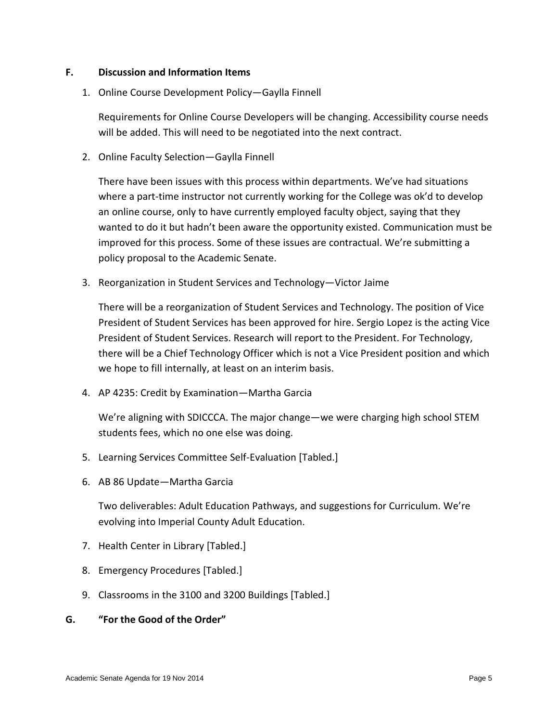# **F. Discussion and Information Items**

1. Online Course Development Policy—Gaylla Finnell

Requirements for Online Course Developers will be changing. Accessibility course needs will be added. This will need to be negotiated into the next contract.

2. Online Faculty Selection—Gaylla Finnell

There have been issues with this process within departments. We've had situations where a part-time instructor not currently working for the College was ok'd to develop an online course, only to have currently employed faculty object, saying that they wanted to do it but hadn't been aware the opportunity existed. Communication must be improved for this process. Some of these issues are contractual. We're submitting a policy proposal to the Academic Senate.

3. Reorganization in Student Services and Technology—Victor Jaime

There will be a reorganization of Student Services and Technology. The position of Vice President of Student Services has been approved for hire. Sergio Lopez is the acting Vice President of Student Services. Research will report to the President. For Technology, there will be a Chief Technology Officer which is not a Vice President position and which we hope to fill internally, at least on an interim basis.

4. AP 4235: Credit by Examination—Martha Garcia

We're aligning with SDICCCA. The major change—we were charging high school STEM students fees, which no one else was doing.

- 5. Learning Services Committee Self-Evaluation [Tabled.]
- 6. AB 86 Update—Martha Garcia

Two deliverables: Adult Education Pathways, and suggestions for Curriculum. We're evolving into Imperial County Adult Education.

- 7. Health Center in Library [Tabled.]
- 8. Emergency Procedures [Tabled.]
- 9. Classrooms in the 3100 and 3200 Buildings [Tabled.]
- **G. "For the Good of the Order"**